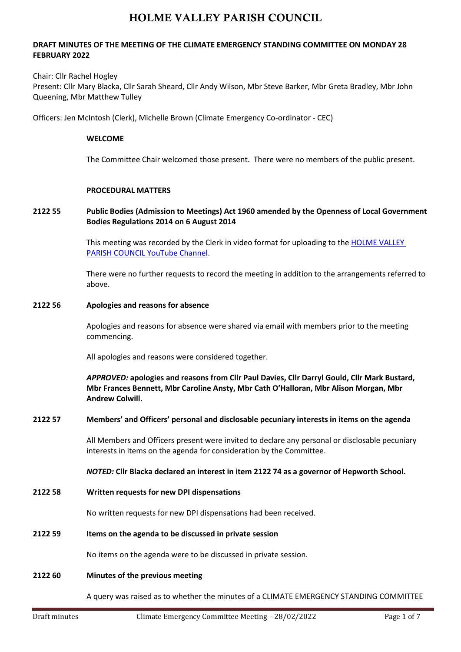# **DRAFT MINUTES OF THE MEETING OF THE CLIMATE EMERGENCY STANDING COMMITTEE ON MONDAY 28 FEBRUARY 2022**

#### Chair: Cllr Rachel Hogley

Present: Cllr Mary Blacka, Cllr Sarah Sheard, Cllr Andy Wilson, Mbr Steve Barker, Mbr Greta Bradley, Mbr John Queening, Mbr Matthew Tulley

Officers: Jen McIntosh (Clerk), Michelle Brown (Climate Emergency Co-ordinator - CEC)

#### **WELCOME**

The Committee Chair welcomed those present. There were no members of the public present.

#### **PROCEDURAL MATTERS**

# **2122 55 Public Bodies (Admission to Meetings) Act 1960 amended by the Openness of Local Government Bodies Regulations 2014 on 6 August 2014**

This meeting was recorded by the Clerk in video format for uploading to the [HOLME VALLEY](https://www.youtube.com/channel/UCog_ghQCPMtVTpgWaYYpXHA/)  PARISH COUNCIL [YouTube Channel.](https://www.youtube.com/channel/UCog_ghQCPMtVTpgWaYYpXHA/)

There were no further requests to record the meeting in addition to the arrangements referred to above.

#### **2122 56 Apologies and reasons for absence**

Apologies and reasons for absence were shared via email with members prior to the meeting commencing.

All apologies and reasons were considered together.

*APPROVED:* **apologies and reasons from Cllr Paul Davies, Cllr Darryl Gould, Cllr Mark Bustard, Mbr Frances Bennett, Mbr Caroline Ansty, Mbr Cath O'Halloran, Mbr Alison Morgan, Mbr Andrew Colwill.**

### **2122 57 Members' and Officers' personal and disclosable pecuniary interests in items on the agenda**

All Members and Officers present were invited to declare any personal or disclosable pecuniary interests in items on the agenda for consideration by the Committee.

#### *NOTED:* **Cllr Blacka declared an interest in item 2122 74 as a governor of Hepworth School.**

### **2122 58 Written requests for new DPI dispensations**

No written requests for new DPI dispensations had been received.

#### **2122 59 Items on the agenda to be discussed in private session**

No items on the agenda were to be discussed in private session.

### **2122 60 Minutes of the previous meeting**

A query was raised as to whether the minutes of a CLIMATE EMERGENCY STANDING COMMITTEE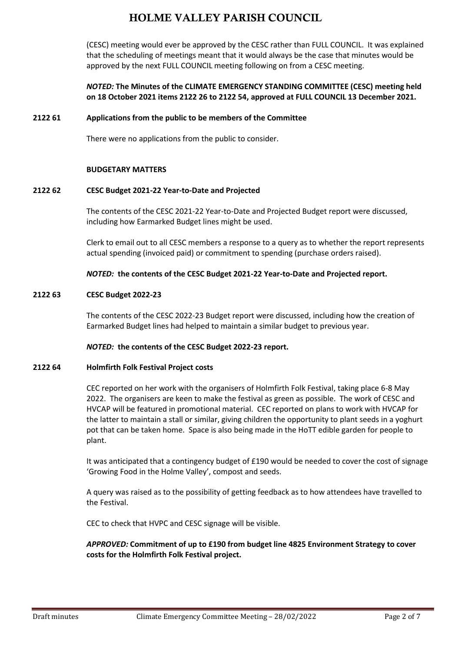(CESC) meeting would ever be approved by the CESC rather than FULL COUNCIL. It was explained that the scheduling of meetings meant that it would always be the case that minutes would be approved by the next FULL COUNCIL meeting following on from a CESC meeting.

# *NOTED:* **The Minutes of the CLIMATE EMERGENCY STANDING COMMITTEE (CESC) meeting held on 18 October 2021 items 2122 26 to 2122 54, approved at FULL COUNCIL 13 December 2021.**

### **2122 61 Applications from the public to be members of the Committee**

There were no applications from the public to consider.

### **BUDGETARY MATTERS**

### **2122 62 CESC Budget 2021-22 Year-to-Date and Projected**

The contents of the CESC 2021-22 Year-to-Date and Projected Budget report were discussed, including how Earmarked Budget lines might be used.

Clerk to email out to all CESC members a response to a query as to whether the report represents actual spending (invoiced paid) or commitment to spending (purchase orders raised).

### *NOTED:* **the contents of the CESC Budget 2021-22 Year-to-Date and Projected report.**

### **2122 63 CESC Budget 2022-23**

The contents of the CESC 2022-23 Budget report were discussed, including how the creation of Earmarked Budget lines had helped to maintain a similar budget to previous year.

### *NOTED:* **the contents of the CESC Budget 2022-23 report.**

### **2122 64 Holmfirth Folk Festival Project costs**

CEC reported on her work with the organisers of Holmfirth Folk Festival, taking place 6-8 May 2022. The organisers are keen to make the festival as green as possible. The work of CESC and HVCAP will be featured in promotional material. CEC reported on plans to work with HVCAP for the latter to maintain a stall or similar, giving children the opportunity to plant seeds in a yoghurt pot that can be taken home. Space is also being made in the HoTT edible garden for people to plant.

It was anticipated that a contingency budget of £190 would be needed to cover the cost of signage 'Growing Food in the Holme Valley', compost and seeds.

A query was raised as to the possibility of getting feedback as to how attendees have travelled to the Festival.

CEC to check that HVPC and CESC signage will be visible.

# *APPROVED:* **Commitment of up to £190 from budget line 4825 Environment Strategy to cover costs for the Holmfirth Folk Festival project.**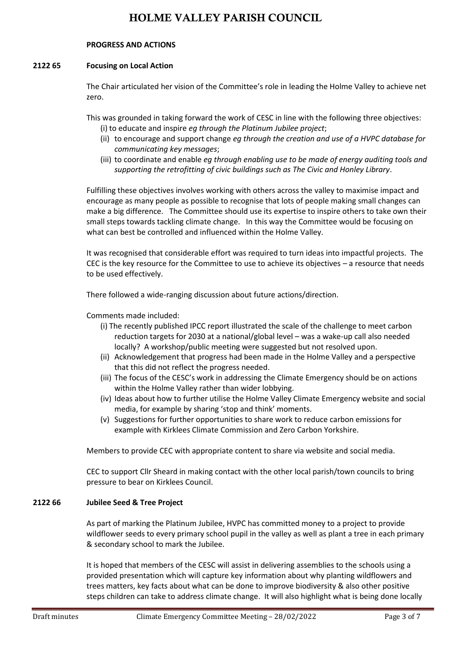### **PROGRESS AND ACTIONS**

# **2122 65 Focusing on Local Action**

The Chair articulated her vision of the Committee's role in leading the Holme Valley to achieve net zero.

This was grounded in taking forward the work of CESC in line with the following three objectives:

- (i) to educate and inspire *eg through the Platinum Jubilee project*;
- (ii) to encourage and support change *eg through the creation and use of a HVPC database for communicating key messages*;
- (iii) to coordinate and enable *eg through enabling use to be made of energy auditing tools and supporting the retrofitting of civic buildings such as The Civic and Honley Library*.

Fulfilling these objectives involves working with others across the valley to maximise impact and encourage as many people as possible to recognise that lots of people making small changes can make a big difference. The Committee should use its expertise to inspire others to take own their small steps towards tackling climate change. In this way the Committee would be focusing on what can best be controlled and influenced within the Holme Valley.

It was recognised that considerable effort was required to turn ideas into impactful projects. The CEC is the key resource for the Committee to use to achieve its objectives – a resource that needs to be used effectively.

There followed a wide-ranging discussion about future actions/direction.

# Comments made included:

- (i) The recently published IPCC report illustrated the scale of the challenge to meet carbon reduction targets for 2030 at a national/global level – was a wake-up call also needed locally? A workshop/public meeting were suggested but not resolved upon.
- (ii) Acknowledgement that progress had been made in the Holme Valley and a perspective that this did not reflect the progress needed.
- (iii) The focus of the CESC's work in addressing the Climate Emergency should be on actions within the Holme Valley rather than wider lobbying.
- (iv) Ideas about how to further utilise the Holme Valley Climate Emergency website and social media, for example by sharing 'stop and think' moments.
- (v) Suggestions for further opportunities to share work to reduce carbon emissions for example with Kirklees Climate Commission and Zero Carbon Yorkshire.

Members to provide CEC with appropriate content to share via website and social media.

CEC to support Cllr Sheard in making contact with the other local parish/town councils to bring pressure to bear on Kirklees Council.

### **2122 66 Jubilee Seed & Tree Project**

As part of marking the Platinum Jubilee, HVPC has committed money to a project to provide wildflower seeds to every primary school pupil in the valley as well as plant a tree in each primary & secondary school to mark the Jubilee.

It is hoped that members of the CESC will assist in delivering assemblies to the schools using a provided presentation which will capture key information about why planting wildflowers and trees matters, key facts about what can be done to improve biodiversity & also other positive steps children can take to address climate change. It will also highlight what is being done locally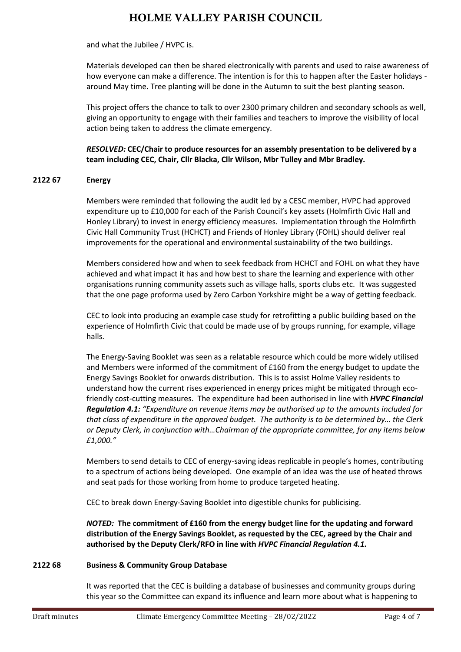and what the Jubilee / HVPC is.

Materials developed can then be shared electronically with parents and used to raise awareness of how everyone can make a difference. The intention is for this to happen after the Easter holidays around May time. Tree planting will be done in the Autumn to suit the best planting season.

This project offers the chance to talk to over 2300 primary children and secondary schools as well, giving an opportunity to engage with their families and teachers to improve the visibility of local action being taken to address the climate emergency.

*RESOLVED:* **CEC/Chair to produce resources for an assembly presentation to be delivered by a team including CEC, Chair, Cllr Blacka, Cllr Wilson, Mbr Tulley and Mbr Bradley***.*

### **2122 67 Energy**

Members were reminded that following the audit led by a CESC member, HVPC had approved expenditure up to £10,000 for each of the Parish Council's key assets (Holmfirth Civic Hall and Honley Library) to invest in energy efficiency measures. Implementation through the Holmfirth Civic Hall Community Trust (HCHCT) and Friends of Honley Library (FOHL) should deliver real improvements for the operational and environmental sustainability of the two buildings.

Members considered how and when to seek feedback from HCHCT and FOHL on what they have achieved and what impact it has and how best to share the learning and experience with other organisations running community assets such as village halls, sports clubs etc. It was suggested that the one page proforma used by Zero Carbon Yorkshire might be a way of getting feedback.

CEC to look into producing an example case study for retrofitting a public building based on the experience of Holmfirth Civic that could be made use of by groups running, for example, village halls.

The Energy-Saving Booklet was seen as a relatable resource which could be more widely utilised and Members were informed of the commitment of £160 from the energy budget to update the Energy Savings Booklet for onwards distribution. This is to assist Holme Valley residents to understand how the current rises experienced in energy prices might be mitigated through ecofriendly cost-cutting measures. The expenditure had been authorised in line with *HVPC Financial Regulation 4.1: "Expenditure on revenue items may be authorised up to the amounts included for that class of expenditure in the approved budget. The authority is to be determined by… the Clerk or Deputy Clerk, in conjunction with…Chairman of the appropriate committee, for any items below £1,000."*

Members to send details to CEC of energy-saving ideas replicable in people's homes, contributing to a spectrum of actions being developed. One example of an idea was the use of heated throws and seat pads for those working from home to produce targeted heating.

CEC to break down Energy-Saving Booklet into digestible chunks for publicising.

*NOTED:* **The commitment of £160 from the energy budget line for the updating and forward distribution of the Energy Savings Booklet, as requested by the CEC, agreed by the Chair and authorised by the Deputy Clerk/RFO in line with** *HVPC Financial Regulation 4.1.*

### **2122 68 Business & Community Group Database**

It was reported that the CEC is building a database of businesses and community groups during this year so the Committee can expand its influence and learn more about what is happening to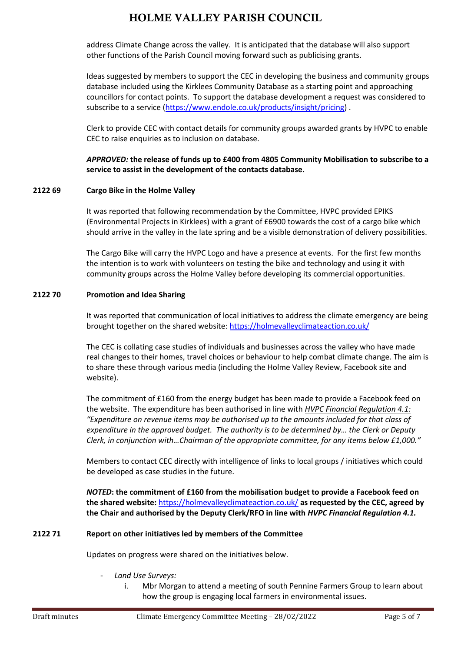address Climate Change across the valley. It is anticipated that the database will also support other functions of the Parish Council moving forward such as publicising grants.

Ideas suggested by members to support the CEC in developing the business and community groups database included using the Kirklees Community Database as a starting point and approaching councillors for contact points. To support the database development a request was considered to subscribe to a service [\(https://www.endole.co.uk/products/insight/pricing\)](https://www.endole.co.uk/products/insight/pricing).

Clerk to provide CEC with contact details for community groups awarded grants by HVPC to enable CEC to raise enquiries as to inclusion on database.

*APPROVED:* **the release of funds up to £400 from 4805 Community Mobilisation to subscribe to a service to assist in the development of the contacts database.**

### **2122 69 Cargo Bike in the Holme Valley**

It was reported that following recommendation by the Committee, HVPC provided EPIKS (Environmental Projects in Kirklees) with a grant of £6900 towards the cost of a cargo bike which should arrive in the valley in the late spring and be a visible demonstration of delivery possibilities.

The Cargo Bike will carry the HVPC Logo and have a presence at events. For the first few months the intention is to work with volunteers on testing the bike and technology and using it with community groups across the Holme Valley before developing its commercial opportunities.

# **2122 70 Promotion and Idea Sharing**

It was reported that communication of local initiatives to address the climate emergency are being brought together on the shared website:<https://holmevalleyclimateaction.co.uk/>

The CEC is collating case studies of individuals and businesses across the valley who have made real changes to their homes, travel choices or behaviour to help combat climate change. The aim is to share these through various media (including the Holme Valley Review, Facebook site and website).

The commitment of £160 from the energy budget has been made to provide a Facebook feed on the website. The expenditure has been authorised in line with *HVPC Financial Regulation 4.1: "Expenditure on revenue items may be authorised up to the amounts included for that class of expenditure in the approved budget. The authority is to be determined by… the Clerk or Deputy Clerk, in conjunction with…Chairman of the appropriate committee, for any items below £1,000."*

Members to contact CEC directly with intelligence of links to local groups / initiatives which could be developed as case studies in the future.

*NOTED***: the commitment of £160 from the mobilisation budget to provide a Facebook feed on the shared website:** <https://holmevalleyclimateaction.co.uk/> **as requested by the CEC, agreed by the Chair and authorised by the Deputy Clerk/RFO in line with** *HVPC Financial Regulation 4.1.*

### **2122 71 Report on other initiatives led by members of the Committee**

Updates on progress were shared on the initiatives below.

- *Land Use Surveys:* 
	- i. Mbr Morgan to attend a meeting of south Pennine Farmers Group to learn about how the group is engaging local farmers in environmental issues.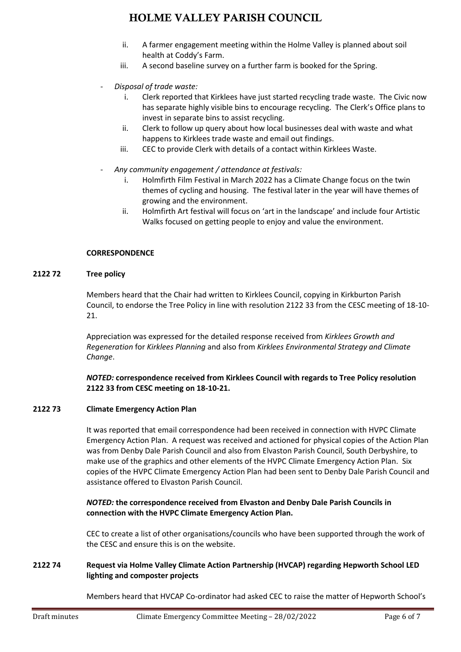- ii. A farmer engagement meeting within the Holme Valley is planned about soil health at Coddy's Farm.
- iii. A second baseline survey on a further farm is booked for the Spring.
- *Disposal of trade waste:* 
	- i. Clerk reported that Kirklees have just started recycling trade waste. The Civic now has separate highly visible bins to encourage recycling. The Clerk's Office plans to invest in separate bins to assist recycling.
	- ii. Clerk to follow up query about how local businesses deal with waste and what happens to Kirklees trade waste and email out findings.
	- iii. CEC to provide Clerk with details of a contact within Kirklees Waste.
- *Any community engagement / attendance at festivals:*
	- i. Holmfirth Film Festival in March 2022 has a Climate Change focus on the twin themes of cycling and housing. The festival later in the year will have themes of growing and the environment.
	- ii. Holmfirth Art festival will focus on 'art in the landscape' and include four Artistic Walks focused on getting people to enjoy and value the environment.

# **CORRESPONDENCE**

# **2122 72 Tree policy**

Members heard that the Chair had written to Kirklees Council, copying in Kirkburton Parish Council, to endorse the Tree Policy in line with resolution 2122 33 from the CESC meeting of 18-10- 21.

Appreciation was expressed for the detailed response received from *Kirklees Growth and Regeneration* for *Kirklees Planning* and also from *Kirklees Environmental Strategy and Climate Change*.

*NOTED:* **correspondence received from Kirklees Council with regards to Tree Policy resolution 2122 33 from CESC meeting on 18-10-21.**

### **2122 73 Climate Emergency Action Plan**

It was reported that email correspondence had been received in connection with HVPC Climate Emergency Action Plan. A request was received and actioned for physical copies of the Action Plan was from Denby Dale Parish Council and also from Elvaston Parish Council, South Derbyshire, to make use of the graphics and other elements of the HVPC Climate Emergency Action Plan. Six copies of the HVPC Climate Emergency Action Plan had been sent to Denby Dale Parish Council and assistance offered to Elvaston Parish Council.

# *NOTED:* **the correspondence received from Elvaston and Denby Dale Parish Councils in connection with the HVPC Climate Emergency Action Plan.**

CEC to create a list of other organisations/councils who have been supported through the work of the CESC and ensure this is on the website.

# **2122 74 Request via Holme Valley Climate Action Partnership (HVCAP) regarding Hepworth School LED lighting and composter projects**

Members heard that HVCAP Co-ordinator had asked CEC to raise the matter of Hepworth School's